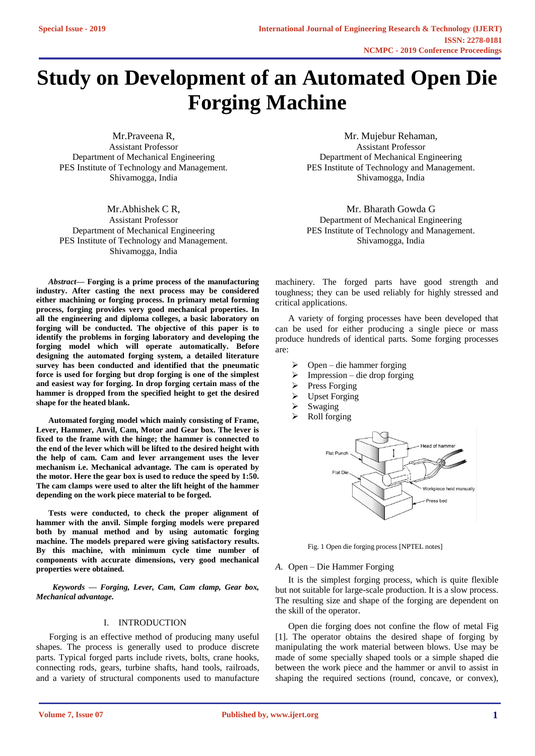# **Study on Development of an Automated Open Die Forging Machine**

Mr.Praveena R, Assistant Professor Department of Mechanical Engineering PES Institute of Technology and Management. Shivamogga, India

Mr.Abhishek C R, Assistant Professor Department of Mechanical Engineering PES Institute of Technology and Management. Shivamogga, India

*Abstract***— Forging is a prime process of the manufacturing industry. After casting the next process may be considered either machining or forging process. In primary metal forming process, forging provides very good mechanical properties. In all the engineering and diploma colleges, a basic laboratory on forging will be conducted. The objective of this paper is to identify the problems in forging laboratory and developing the forging model which will operate automatically. Before designing the automated forging system, a detailed literature survey has been conducted and identified that the pneumatic force is used for forging but drop forging is one of the simplest and easiest way for forging. In drop forging certain mass of the hammer is dropped from the specified height to get the desired shape for the heated blank.** 

**Automated forging model which mainly consisting of Frame, Lever, Hammer, Anvil, Cam, Motor and Gear box. The lever is fixed to the frame with the hinge; the hammer is connected to the end of the lever which will be lifted to the desired height with the help of cam. Cam and lever arrangement uses the lever mechanism i.e. Mechanical advantage. The cam is operated by the motor. Here the gear box is used to reduce the speed by 1:50. The cam clamps were used to alter the lift height of the hammer depending on the work piece material to be forged.** 

**Tests were conducted, to check the proper alignment of hammer with the anvil. Simple forging models were prepared both by manual method and by using automatic forging machine. The models prepared were giving satisfactory results. By this machine, with minimum cycle time number of components with accurate dimensions, very good mechanical properties were obtained.** 

*Keywords — Forging, Lever, Cam, Cam clamp, Gear box, Mechanical advantage.* 

### I. INTRODUCTION

Forging is an effective method of producing many useful shapes. The process is generally used to produce discrete parts. Typical forged parts include rivets, bolts, crane hooks, connecting rods, gears, turbine shafts, hand tools, railroads, and a variety of structural components used to manufacture

Mr. Mujebur Rehaman, Assistant Professor Department of Mechanical Engineering PES Institute of Technology and Management. Shivamogga, India

Mr. Bharath Gowda G Department of Mechanical Engineering PES Institute of Technology and Management. Shivamogga, India

machinery. The forged parts have good strength and toughness; they can be used reliably for highly stressed and critical applications.

A variety of forging processes have been developed that can be used for either producing a single piece or mass produce hundreds of identical parts. Some forging processes are:

- ➢ Open die hammer forging
- ➢ Impression die drop forging
- ➢ Press Forging
- ➢ Upset Forging
- ➢ Swaging
- ➢ Roll forging



Fig. 1 Open die forging process [NPTEL notes]

### *A.* Open – Die Hammer Forging

It is the simplest forging process, which is quite flexible but not suitable for large-scale production. It is a slow process. The resulting size and shape of the forging are dependent on the skill of the operator.

Open die forging does not confine the flow of metal Fig [1]. The operator obtains the desired shape of forging by manipulating the work material between blows. Use may be made of some specially shaped tools or a simple shaped die between the work piece and the hammer or anvil to assist in shaping the required sections (round, concave, or convex),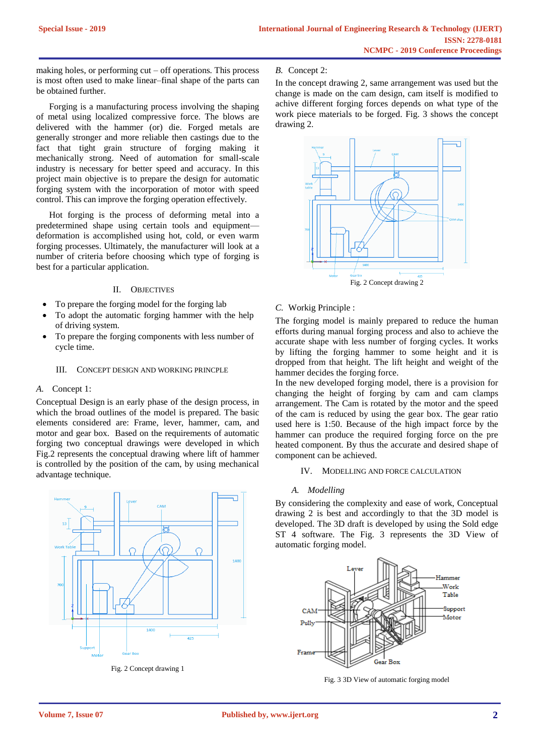making holes, or performing cut – off operations. This process is most often used to make linear–final shape of the parts can be obtained further.

Forging is a manufacturing process involving the shaping of metal using localized compressive force. The blows are delivered with the hammer (or) die. Forged metals are generally stronger and more reliable then castings due to the fact that tight grain structure of forging making it mechanically strong. Need of automation for small-scale industry is necessary for better speed and accuracy. In this project main objective is to prepare the design for automatic forging system with the incorporation of motor with speed control. This can improve the forging operation effectively.

Hot forging is the process of deforming metal into a predetermined shape using certain tools and equipment deformation is accomplished using hot, cold, or even warm forging processes. Ultimately, the manufacturer will look at a number of criteria before choosing which type of forging is best for a particular application.

# II. OBJECTIVES

- To prepare the forging model for the forging lab
- To adopt the automatic forging hammer with the help of driving system.
- To prepare the forging components with less number of cycle time.

### III. CONCEPT DESIGN AND WORKING PRINCPLE

## *A.* Concept 1:

Conceptual Design is an early phase of the design process, in which the broad outlines of the model is prepared. The basic elements considered are: Frame, lever, hammer, cam, and motor and gear box. Based on the requirements of automatic forging two conceptual drawings were developed in which Fig.2 represents the conceptual drawing where lift of hammer is controlled by the position of the cam, by using mechanical advantage technique.



Fig. 2 Concept drawing 1

### *B.* Concept 2:

In the concept drawing 2, same arrangement was used but the change is made on the cam design, cam itself is modified to achive different forging forces depends on what type of the work piece materials to be forged. Fig. 3 shows the concept drawing 2.



# *C.* Workig Principle :

The forging model is mainly prepared to reduce the human efforts during manual forging process and also to achieve the accurate shape with less number of forging cycles. It works by lifting the forging hammer to some height and it is dropped from that height. The lift height and weight of the hammer decides the forging force.

In the new developed forging model, there is a provision for changing the height of forging by cam and cam clamps arrangement. The Cam is rotated by the motor and the speed of the cam is reduced by using the gear box. The gear ratio used here is 1:50. Because of the high impact force by the hammer can produce the required forging force on the pre heated component. By thus the accurate and desired shape of component can be achieved.

### IV. MODELLING AND FORCE CALCULATION

# *A. Modelling*

By considering the complexity and ease of work, Conceptual drawing 2 is best and accordingly to that the 3D model is developed. The 3D draft is developed by using the Sold edge ST 4 software. The Fig. 3 represents the 3D View of automatic forging model.



Fig. 3 3D View of automatic forging model